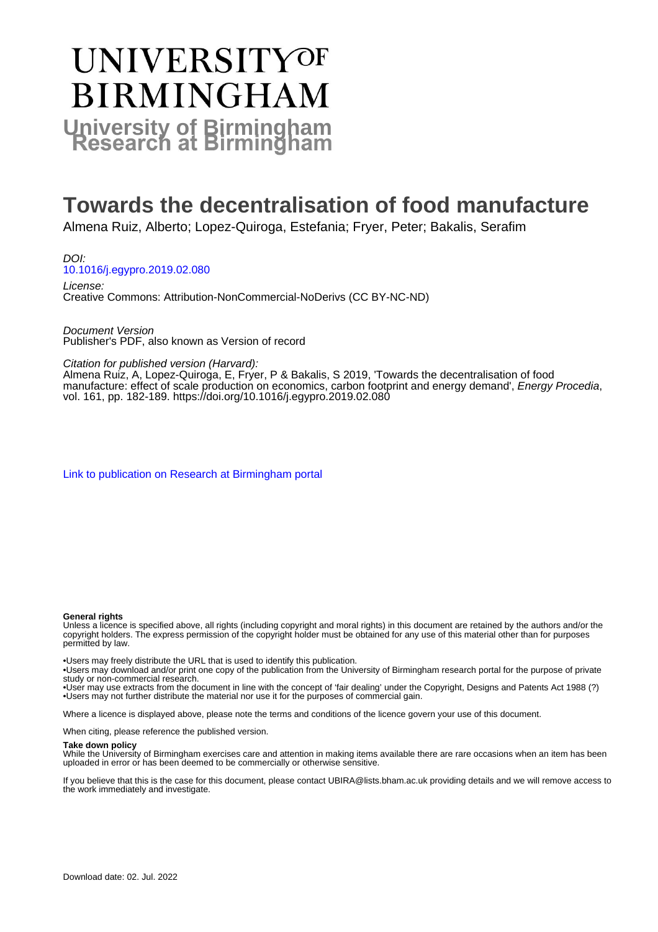# **UNIVERSITYOF BIRMINGHAM University of Birmingham**

# **Towards the decentralisation of food manufacture**

Almena Ruiz, Alberto; Lopez-Quiroga, Estefania; Fryer, Peter; Bakalis, Serafim

DOI: [10.1016/j.egypro.2019.02.080](https://doi.org/10.1016/j.egypro.2019.02.080)

License: Creative Commons: Attribution-NonCommercial-NoDerivs (CC BY-NC-ND)

Document Version Publisher's PDF, also known as Version of record

Citation for published version (Harvard):

Almena Ruiz, A, Lopez-Quiroga, E, Fryer, P & Bakalis, S 2019, 'Towards the decentralisation of food manufacture: effect of scale production on economics, carbon footprint and energy demand', Energy Procedia, vol. 161, pp. 182-189. <https://doi.org/10.1016/j.egypro.2019.02.080>

[Link to publication on Research at Birmingham portal](https://birmingham.elsevierpure.com/en/publications/59b06700-d97b-4340-88a4-ef9d6ce6897f)

#### **General rights**

Unless a licence is specified above, all rights (including copyright and moral rights) in this document are retained by the authors and/or the copyright holders. The express permission of the copyright holder must be obtained for any use of this material other than for purposes permitted by law.

• Users may freely distribute the URL that is used to identify this publication.

• Users may download and/or print one copy of the publication from the University of Birmingham research portal for the purpose of private study or non-commercial research.

• User may use extracts from the document in line with the concept of 'fair dealing' under the Copyright, Designs and Patents Act 1988 (?) • Users may not further distribute the material nor use it for the purposes of commercial gain.

Where a licence is displayed above, please note the terms and conditions of the licence govern your use of this document.

When citing, please reference the published version.

#### **Take down policy**

While the University of Birmingham exercises care and attention in making items available there are rare occasions when an item has been uploaded in error or has been deemed to be commercially or otherwise sensitive.

If you believe that this is the case for this document, please contact UBIRA@lists.bham.ac.uk providing details and we will remove access to the work immediately and investigate.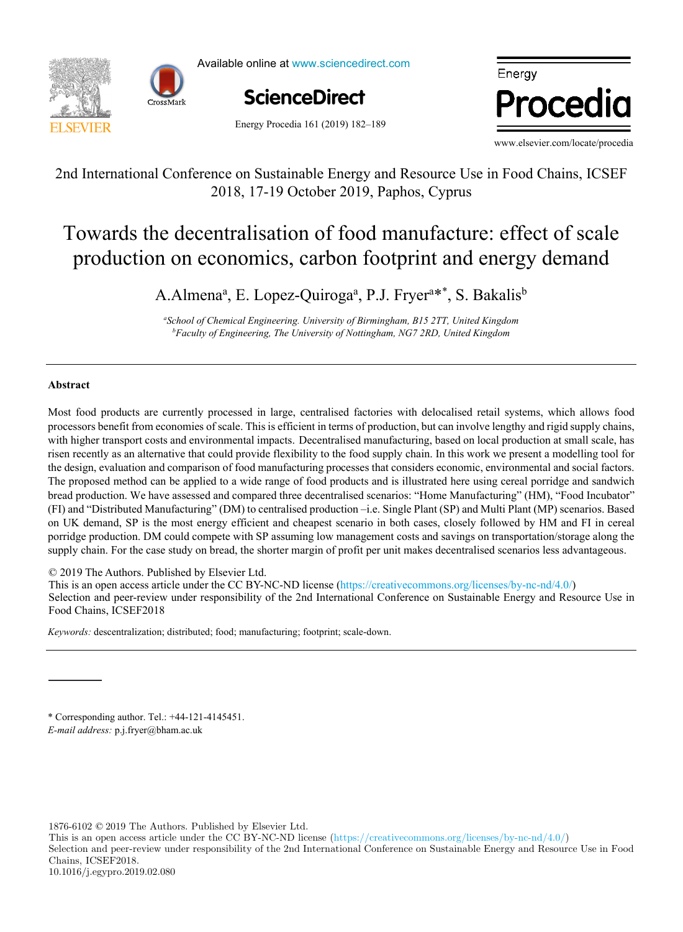

Available online at www.sciencedirect.com



Energy Procedia 161 (2019) 182-189



www.elsevier.com/locate/procedia

2nd International Conference on Sustainable Energy and Resource Use in Food Chains, ICSEF 2nd International Conference on Sustainable Energy and Resource Use in Food Chains, 2018, 17-19 October 2019, Paphos, Cyprus International Conference on Bustainable Energy and Resource Use in Food Chains, resi

#### Towards the decentralisation of food manufacture: effect of scale duction on economics, carbon footprint and energy demand  $p_{\text{max}}$  or excentral sation of foot manufacture. Cricet of scale Towards the decentralisation of food manufacture: effect of scale production on economics, carbon footprint and energy demand

A.Almena<sup>a</sup>, E. Lopez-Ouiroga<sup>a</sup>, P.J. Fryer<sup>a\*\*</sup>, S. Bakalis<sup>b</sup> A.Almena<sup>a</sup>, E. Lopez-Quiroga<sup>a</sup>, P.J. Fryer<sup>a\*\*</sup>, S. Bakalis<sup>b</sup>

<sup>a</sup>School of Chemical Engineering. University of Birmingham, B15 2TT, United Kingdom<br>*Engulty of Engineering, The University of Nottingham, NGZ 2BD, United Kingdom*  $\lim_{n \to \infty}$ "School of Chemical Engineering. University of Birmingham, B15 2TT, United Kingdom<br>"Faculty of Engineering. The University of Nottingham, NG7 2RD, United Kingdom" *Faculty of Engineering, The University of Nottingham, NG7 2RD, United Kingdom* 

*Veolia Recherche & Innovation, 291 Avenue Dreyfous Daniel, 78520 Limay, France*

### **Abstract**

processors benefit from economies of scale. This is efficient in terms of production, but can involve lengthy and rigid supply chains, risen recently as an alternative that could provide flexibility to the food supply chain. In this work we present a modelling tool for the design, evaluation and comparison of food manufacturing processes that considers economic, environmental and social factors. The proposed method can be applied to a wide range of food products and is illustrated here using cereal porridge and sandwich bread production. We have assessed and compared three decentralised scenarios: "Home Manufacturing" (HM), "Food Incubator" (FI) and "Distributed Manufacturing" (DM) to centralised production -i.e. Single Plant (SP) and Multi Plant (MP) scenarios. Based on UK demand, SP is the most energy efficient and cheapest scenario in both cases, closely followed by HM and FI in cereal porridge production. DM could compete with SP assuming low management costs and savings on transportation/storage along the supply chain. For the case study on bread, the shorter margin of profit per unit makes decentralised scenarios less advantageous. Most food products are currently processed in large, centralised factories with delocalised retail systems, which allows food with higher transport costs and environmental impacts. Decentralised manufacturing, based on local production at small scale, has

© 2019 The Authors. Published by Elsevier Ltd.

improve the accuracy of heat demand estimations.

C 2019 The Authors. Published by Elsevier Ltd.<br>This is an open access article under the CC BY-NC-ND license (https://creativecommons.org/licenses/by-nc-nd/4.0/) Selection and peer-review under responsibility of the 2nd International Conference on Sustainable Energy and Resource Use in Food Chains, ICSEF2018 See Conference review under responsibility of the 2nd International Conference on Sustainable Energy and Resource Conference

renovation scenarios considered). On the other hand, function intercept increased for 7.8-12.7% per decade (depending on the

The value of slope coefficient increased on average with the range of  $3.8$  per decade, that corresponds to the range of 3.8% per decade, that corresponds to the range of 3.8% per decade, that corresponds to the range of Keywords: descentralization; distributed; food; manufacturing; footprint; scale-down. Food Chains, ICSEF2018. *Keywords:* descentralization; distributed; food; manufacturing; footprint; scale-down.

 $*$  Corresponding author. Tel.: +44-121-4145451. *E-mail address:* p.j.fryer@bham.ac.uk

1876-6102 © 2017 The Authors. Published by Elsevier Ltd. 1876-6102 © 2019 The Authors. Published by Elsevier Ltd.

This is an open access article under the CC BY-NC-ND license (https://creativecommons.org/licenses/by-nc-nd/4.0/) Selection and peer-review under responsibility of the 2nd International Conference on Sustainable Energy and Resource Use in Food Chains, ICSEF2018. 10.1016/j.egypro.2019.02.080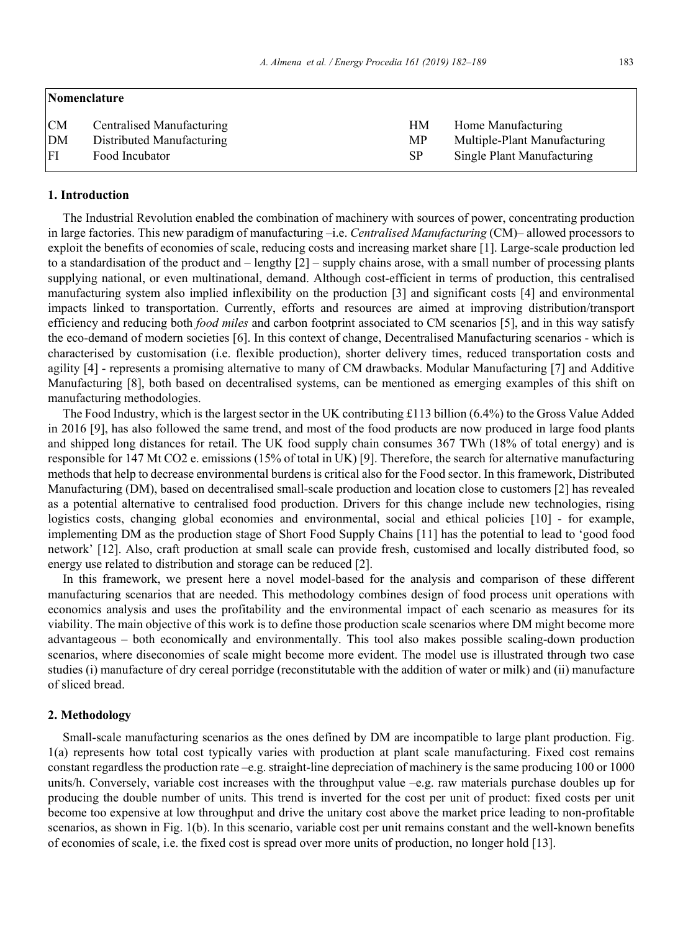| Nomenclature |                           |           |                              |  |  |  |  |  |
|--------------|---------------------------|-----------|------------------------------|--|--|--|--|--|
| <b>CM</b>    | Centralised Manufacturing | HМ        | Home Manufacturing           |  |  |  |  |  |
| DM           | Distributed Manufacturing | MP        | Multiple-Plant Manufacturing |  |  |  |  |  |
| l FI         | Food Incubator            | <b>SP</b> | Single Plant Manufacturing   |  |  |  |  |  |

#### **1. Introduction**

The Industrial Revolution enabled the combination of machinery with sources of power, concentrating production in large factories. This new paradigm of manufacturing –i.e. *Centralised Manufacturing* (CM)– allowed processors to exploit the benefits of economies of scale, reducing costs and increasing market share [1]. Large-scale production led to a standardisation of the product and – lengthy [2] – supply chains arose, with a small number of processing plants supplying national, or even multinational, demand. Although cost-efficient in terms of production, this centralised manufacturing system also implied inflexibility on the production [3] and significant costs [4] and environmental impacts linked to transportation. Currently, efforts and resources are aimed at improving distribution/transport efficiency and reducing both *food miles* and carbon footprint associated to CM scenarios [5], and in this way satisfy the eco-demand of modern societies [6]. In this context of change, Decentralised Manufacturing scenarios - which is characterised by customisation (i.e. flexible production), shorter delivery times, reduced transportation costs and agility [4] - represents a promising alternative to many of CM drawbacks. Modular Manufacturing [7] and Additive Manufacturing [8], both based on decentralised systems, can be mentioned as emerging examples of this shift on manufacturing methodologies.

The Food Industry, which is the largest sector in the UK contributing £113 billion  $(6.4\%)$  to the Gross Value Added in 2016 [9], has also followed the same trend, and most of the food products are now produced in large food plants and shipped long distances for retail. The UK food supply chain consumes 367 TWh (18% of total energy) and is responsible for 147 Mt CO2 e. emissions (15% of total in UK) [9]. Therefore, the search for alternative manufacturing methods that help to decrease environmental burdens is critical also for the Food sector. In this framework, Distributed Manufacturing (DM), based on decentralised small-scale production and location close to customers [2] has revealed as a potential alternative to centralised food production. Drivers for this change include new technologies, rising logistics costs, changing global economies and environmental, social and ethical policies [10] - for example, implementing DM as the production stage of Short Food Supply Chains [11] has the potential to lead to 'good food network' [12]. Also, craft production at small scale can provide fresh, customised and locally distributed food, so energy use related to distribution and storage can be reduced [2].

In this framework, we present here a novel model-based for the analysis and comparison of these different manufacturing scenarios that are needed. This methodology combines design of food process unit operations with economics analysis and uses the profitability and the environmental impact of each scenario as measures for its viability. The main objective of this work is to define those production scale scenarios where DM might become more advantageous – both economically and environmentally. This tool also makes possible scaling-down production scenarios, where diseconomies of scale might become more evident. The model use is illustrated through two case studies (i) manufacture of dry cereal porridge (reconstitutable with the addition of water or milk) and (ii) manufacture of sliced bread.

#### **2. Methodology**

Small-scale manufacturing scenarios as the ones defined by DM are incompatible to large plant production. Fig. 1(a) represents how total cost typically varies with production at plant scale manufacturing. Fixed cost remains constant regardless the production rate –e.g. straight-line depreciation of machinery is the same producing 100 or 1000 units/h. Conversely, variable cost increases with the throughput value –e.g. raw materials purchase doubles up for producing the double number of units. This trend is inverted for the cost per unit of product: fixed costs per unit become too expensive at low throughput and drive the unitary cost above the market price leading to non-profitable scenarios, as shown in Fig. 1(b). In this scenario, variable cost per unit remains constant and the well-known benefits of economies of scale, i.e. the fixed cost is spread over more units of production, no longer hold [13].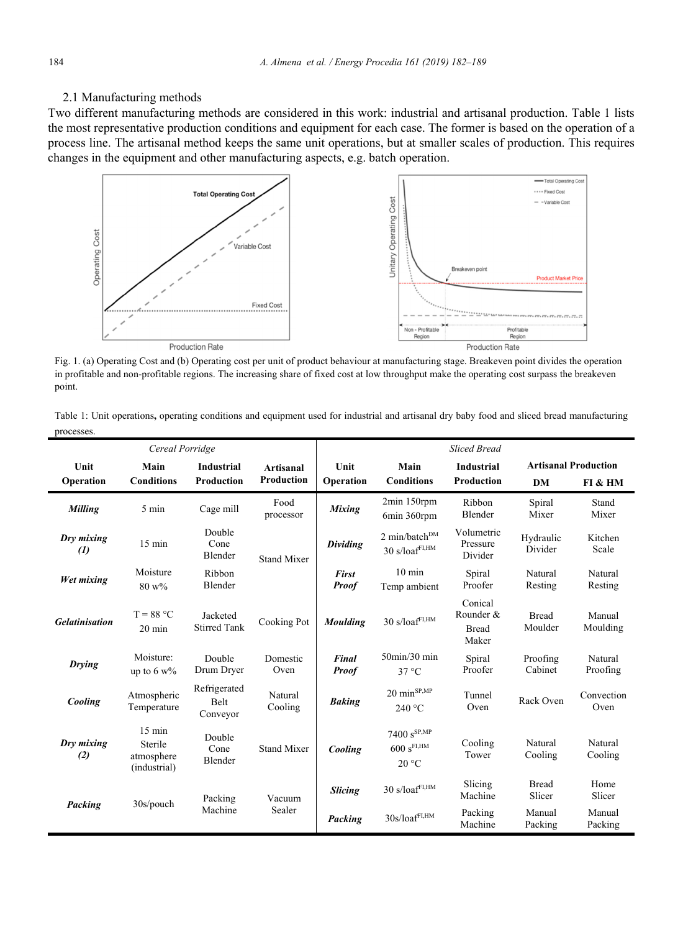## 2.1 Manufacturing methods

Two different manufacturing methods are considered in this work: industrial and artisanal production. Table 1 lists the most representative production conditions and equipment for each case. The former is based on the operation of a process line. The artisanal method keeps the same unit operations, but at smaller scales of production. This requires changes in the equipment and other manufacturing aspects, e.g. batch operation.



Fig. 1. (a) Operating Cost and (b) Operating cost per unit of product behaviour at manufacturing stage. Breakeven point divides the operation in profitable and non-profitable regions. The increasing share of fixed cost at low throughput make the operating cost surpass the breakeven point.

| Table 1: Unit operations, operating conditions and equipment used for industrial and artisanal dry baby food and sliced bread manufacturing |  |  |  |  |
|---------------------------------------------------------------------------------------------------------------------------------------------|--|--|--|--|
| processes.                                                                                                                                  |  |  |  |  |

| Cereal Porridge                 |                                                           |                                         |                    | <b>Sliced Bread</b>          |                                                                          |                                               |                             |                     |
|---------------------------------|-----------------------------------------------------------|-----------------------------------------|--------------------|------------------------------|--------------------------------------------------------------------------|-----------------------------------------------|-----------------------------|---------------------|
| Unit                            | Main                                                      | <b>Industrial</b>                       | <b>Artisanal</b>   | Unit                         | Main                                                                     | <b>Industrial</b>                             | <b>Artisanal Production</b> |                     |
| Operation                       | <b>Conditions</b>                                         | Production                              | Production         | Operation                    | <b>Conditions</b>                                                        | <b>Production</b>                             | <b>DM</b>                   | FI & HM             |
| Milling                         | 5 min                                                     | Cage mill                               | Food<br>processor  | <b>Mixing</b>                | 2min 150rpm<br>6min 360rpm                                               | Ribbon<br>Blender                             | Spiral<br>Mixer             | Stand<br>Mixer      |
| Dry mixing<br>$\left( l\right)$ | $15 \text{ min}$                                          | Double<br>Cone<br>Blender               | <b>Stand Mixer</b> | <b>Dividing</b>              | $2$ min/batch <sup>DM</sup><br>$30 \text{ s}/\text{loaf}^{\text{FI,HM}}$ | Volumetric<br>Pressure<br>Divider             | Hydraulic<br>Divider        | Kitchen<br>Scale    |
| Wet mixing                      | Moisture<br>$80 w\%$                                      | Ribbon<br>Blender                       |                    | First<br><b>Proof</b>        | $10 \text{ min}$<br>Temp ambient                                         | Spiral<br>Proofer                             | Natural<br>Resting          | Natural<br>Resting  |
| <b>Gelatinisation</b>           | $T = 88 °C$<br>$20 \text{ min}$                           | Jacketed<br><b>Stirred Tank</b>         | Cooking Pot        | <b>Moulding</b>              | $30 \text{ s}/\text{loaf}^{\text{FI,HM}}$                                | Conical<br>Rounder &<br><b>Bread</b><br>Maker | <b>Bread</b><br>Moulder     | Manual<br>Moulding  |
| <b>Drying</b>                   | Moisture:<br>up to $6 w\%$                                | Double<br>Drum Dryer                    | Domestic<br>Oven   | <b>Final</b><br><b>Proof</b> | $50$ min/ $30$ min<br>$37^{\circ}$ C                                     | Spiral<br>Proofer                             | Proofing<br>Cabinet         | Natural<br>Proofing |
| Cooling                         | Atmospheric<br>Temperature                                | Refrigerated<br><b>Belt</b><br>Conveyor | Natural<br>Cooling | <b>Baking</b>                | $20 \text{ min}^{\text{SP,MP}}$<br>240 °C                                | Tunnel<br>Oven                                | Rack Oven                   | Convection<br>Oven  |
| Dry mixing<br>(2)               | $15 \text{ min}$<br>Sterile<br>atmosphere<br>(industrial) | Double<br>Cone<br>Blender               | <b>Stand Mixer</b> | Cooling                      | $7400 s^{SP,MP}$<br>$600 s$ FI,HM<br>20 °C                               | Cooling<br>Tower                              | Natural<br>Cooling          | Natural<br>Cooling  |
|                                 | $30s$ /pouch                                              | Packing                                 | Vacuum             | <b>Slicing</b>               | $30 \; \mathrm{s}/\mathrm{loaf}^\mathrm{FI,HM}$                          | Slicing<br>Machine                            | <b>Bread</b><br>Slicer      | Home<br>Slicer      |
| Packing                         |                                                           | Machine                                 | Sealer             | Packing                      | $30s/leaf^{FI,HM}$                                                       | Packing<br>Machine                            | Manual<br>Packing           | Manual<br>Packing   |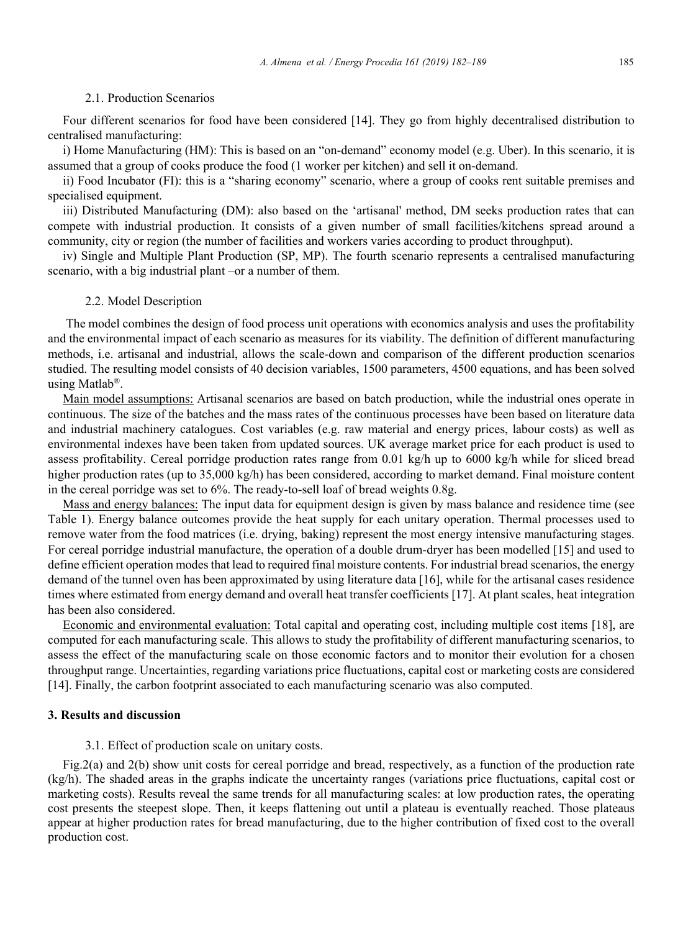#### 2.1. Production Scenarios

Four different scenarios for food have been considered [14]. They go from highly decentralised distribution to centralised manufacturing:

i) Home Manufacturing (HM): This is based on an "on-demand" economy model (e.g. Uber). In this scenario, it is assumed that a group of cooks produce the food (1 worker per kitchen) and sell it on-demand.

ii) Food Incubator (FI): this is a "sharing economy" scenario, where a group of cooks rent suitable premises and specialised equipment.

iii) Distributed Manufacturing (DM): also based on the 'artisanal' method, DM seeks production rates that can compete with industrial production. It consists of a given number of small facilities/kitchens spread around a community, city or region (the number of facilities and workers varies according to product throughput).

iv) Single and Multiple Plant Production (SP, MP). The fourth scenario represents a centralised manufacturing scenario, with a big industrial plant –or a number of them.

#### 2.2. Model Description

 The model combines the design of food process unit operations with economics analysis and uses the profitability and the environmental impact of each scenario as measures for its viability. The definition of different manufacturing methods, i.e. artisanal and industrial, allows the scale-down and comparison of the different production scenarios studied. The resulting model consists of 40 decision variables, 1500 parameters, 4500 equations, and has been solved using Matlab®.

Main model assumptions: Artisanal scenarios are based on batch production, while the industrial ones operate in continuous. The size of the batches and the mass rates of the continuous processes have been based on literature data and industrial machinery catalogues. Cost variables (e.g. raw material and energy prices, labour costs) as well as environmental indexes have been taken from updated sources. UK average market price for each product is used to assess profitability. Cereal porridge production rates range from 0.01 kg/h up to 6000 kg/h while for sliced bread higher production rates (up to 35,000 kg/h) has been considered, according to market demand. Final moisture content in the cereal porridge was set to 6%. The ready-to-sell loaf of bread weights 0.8g.

Mass and energy balances: The input data for equipment design is given by mass balance and residence time (see Table 1). Energy balance outcomes provide the heat supply for each unitary operation. Thermal processes used to remove water from the food matrices (i.e. drying, baking) represent the most energy intensive manufacturing stages. For cereal porridge industrial manufacture, the operation of a double drum-dryer has been modelled [15] and used to define efficient operation modes that lead to required final moisture contents. For industrial bread scenarios, the energy demand of the tunnel oven has been approximated by using literature data [16], while for the artisanal cases residence times where estimated from energy demand and overall heat transfer coefficients [17]. At plant scales, heat integration has been also considered.

Economic and environmental evaluation: Total capital and operating cost, including multiple cost items [18], are computed for each manufacturing scale. This allows to study the profitability of different manufacturing scenarios, to assess the effect of the manufacturing scale on those economic factors and to monitor their evolution for a chosen throughput range. Uncertainties, regarding variations price fluctuations, capital cost or marketing costs are considered [14]. Finally, the carbon footprint associated to each manufacturing scenario was also computed.

#### **3. Results and discussion**

#### 3.1. Effect of production scale on unitary costs.

Fig.2(a) and 2(b) show unit costs for cereal porridge and bread, respectively, as a function of the production rate (kg/h). The shaded areas in the graphs indicate the uncertainty ranges (variations price fluctuations, capital cost or marketing costs). Results reveal the same trends for all manufacturing scales: at low production rates, the operating cost presents the steepest slope. Then, it keeps flattening out until a plateau is eventually reached. Those plateaus appear at higher production rates for bread manufacturing, due to the higher contribution of fixed cost to the overall production cost.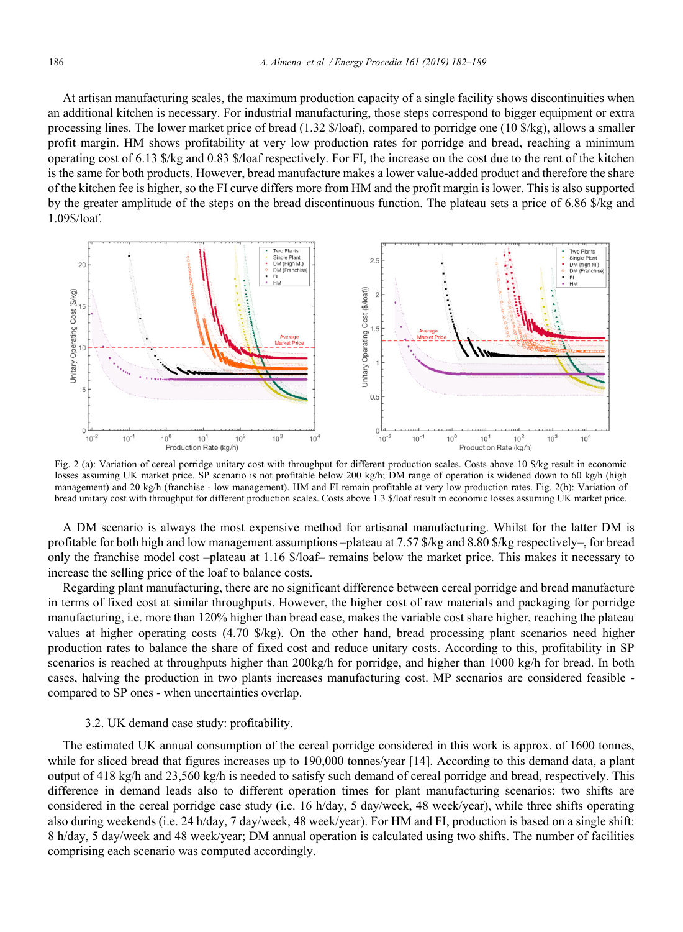At artisan manufacturing scales, the maximum production capacity of a single facility shows discontinuities when an additional kitchen is necessary. For industrial manufacturing, those steps correspond to bigger equipment or extra processing lines. The lower market price of bread (1.32 \$/loaf), compared to porridge one (10 \$/kg), allows a smaller profit margin. HM shows profitability at very low production rates for porridge and bread, reaching a minimum operating cost of 6.13 \$/kg and 0.83 \$/loaf respectively. For FI, the increase on the cost due to the rent of the kitchen is the same for both products. However, bread manufacture makes a lower value-added product and therefore the share of the kitchen fee is higher, so the FI curve differs more from HM and the profit margin is lower. This is also supported by the greater amplitude of the steps on the bread discontinuous function. The plateau sets a price of 6.86 \$/kg and 1.09\$/loaf.



Fig. 2 (a): Variation of cereal porridge unitary cost with throughput for different production scales. Costs above 10 \$/kg result in economic losses assuming UK market price. SP scenario is not profitable below 200 kg/h; DM range of operation is widened down to 60 kg/h (high management) and 20 kg/h (franchise - low management). HM and FI remain profitable at very low production rates. Fig. 2(b): Variation of bread unitary cost with throughput for different production scales. Costs above 1.3 \$/loaf result in economic losses assuming UK market price.

A DM scenario is always the most expensive method for artisanal manufacturing. Whilst for the latter DM is profitable for both high and low management assumptions –plateau at 7.57 \$/kg and 8.80 \$/kg respectively–, for bread only the franchise model cost –plateau at 1.16 \$/loaf– remains below the market price. This makes it necessary to increase the selling price of the loaf to balance costs.

Regarding plant manufacturing, there are no significant difference between cereal porridge and bread manufacture in terms of fixed cost at similar throughputs. However, the higher cost of raw materials and packaging for porridge manufacturing, i.e. more than 120% higher than bread case, makes the variable cost share higher, reaching the plateau values at higher operating costs (4.70 \$/kg). On the other hand, bread processing plant scenarios need higher production rates to balance the share of fixed cost and reduce unitary costs. According to this, profitability in SP scenarios is reached at throughputs higher than 200kg/h for porridge, and higher than 1000 kg/h for bread. In both cases, halving the production in two plants increases manufacturing cost. MP scenarios are considered feasible compared to SP ones - when uncertainties overlap.

#### 3.2. UK demand case study: profitability.

The estimated UK annual consumption of the cereal porridge considered in this work is approx. of 1600 tonnes, while for sliced bread that figures increases up to 190,000 tonnes/year [14]. According to this demand data, a plant output of 418 kg/h and 23,560 kg/h is needed to satisfy such demand of cereal porridge and bread, respectively. This difference in demand leads also to different operation times for plant manufacturing scenarios: two shifts are considered in the cereal porridge case study (i.e. 16 h/day, 5 day/week, 48 week/year), while three shifts operating also during weekends (i.e. 24 h/day, 7 day/week, 48 week/year). For HM and FI, production is based on a single shift: 8 h/day, 5 day/week and 48 week/year; DM annual operation is calculated using two shifts. The number of facilities comprising each scenario was computed accordingly.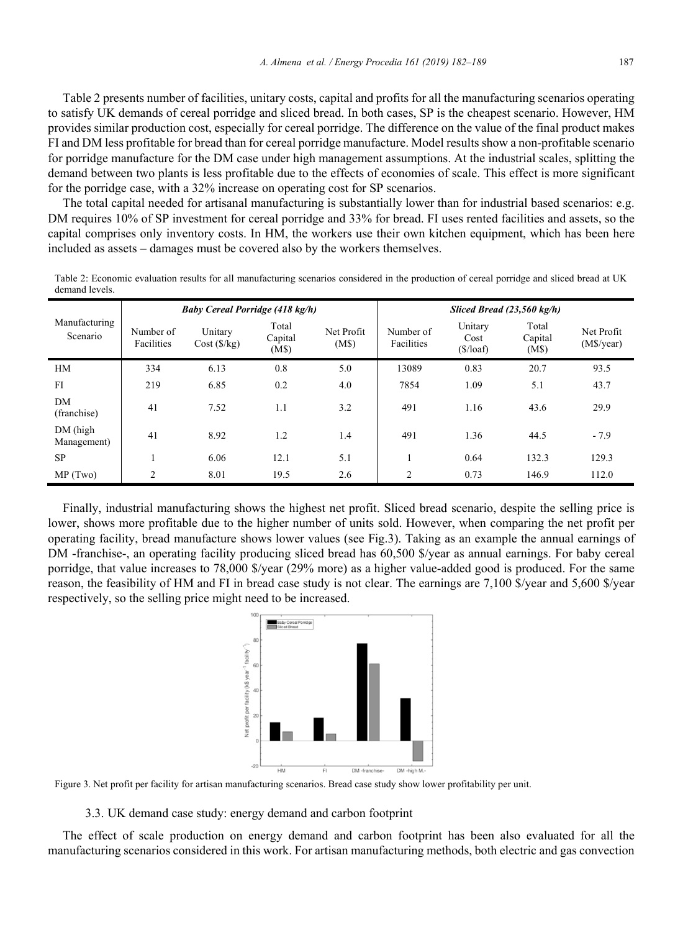Table 2 presents number of facilities, unitary costs, capital and profits for all the manufacturing scenarios operating to satisfy UK demands of cereal porridge and sliced bread. In both cases, SP is the cheapest scenario. However, HM provides similar production cost, especially for cereal porridge. The difference on the value of the final product makes FI and DM less profitable for bread than for cereal porridge manufacture. Model results show a non-profitable scenario for porridge manufacture for the DM case under high management assumptions. At the industrial scales, splitting the demand between two plants is less profitable due to the effects of economies of scale. This effect is more significant for the porridge case, with a 32% increase on operating cost for SP scenarios.

The total capital needed for artisanal manufacturing is substantially lower than for industrial based scenarios: e.g. DM requires 10% of SP investment for cereal porridge and 33% for bread. FI uses rented facilities and assets, so the capital comprises only inventory costs. In HM, the workers use their own kitchen equipment, which has been here included as assets – damages must be covered also by the workers themselves.

Table 2: Economic evaluation results for all manufacturing scenarios considered in the production of cereal porridge and sliced bread at UK demand levels.

|                           | Baby Cereal Porridge (418 kg/h) |                       |                           |                     | Sliced Bread $(23,560 \text{ kg/h})$ |                                                  |                           |                          |
|---------------------------|---------------------------------|-----------------------|---------------------------|---------------------|--------------------------------------|--------------------------------------------------|---------------------------|--------------------------|
| Manufacturing<br>Scenario | Number of<br>Facilities         | Unitary<br>Cost(S/kg) | Total<br>Capital<br>(M\$) | Net Profit<br>(M\$) | Number of<br>Facilities              | Unitary<br>Cost<br>$(\frac{\sqrt{2}}{\sqrt{2}})$ | Total<br>Capital<br>(M\$) | Net Profit<br>(M\$/year) |
| HM                        | 334                             | 6.13                  | 0.8                       | 5.0                 | 13089                                | 0.83                                             | 20.7                      | 93.5                     |
| FI                        | 219                             | 6.85                  | 0.2                       | 4.0                 | 7854                                 | 1.09                                             | 5.1                       | 43.7                     |
| DM<br>(franchise)         | 41                              | 7.52                  | 1.1                       | 3.2                 | 491                                  | 1.16                                             | 43.6                      | 29.9                     |
| DM (high<br>Management)   | 41                              | 8.92                  | 1.2                       | 1.4                 | 491                                  | 1.36                                             | 44.5                      | $-7.9$                   |
| <b>SP</b>                 |                                 | 6.06                  | 12.1                      | 5.1                 |                                      | 0.64                                             | 132.3                     | 129.3                    |
| MP(Two)                   | $\overline{2}$                  | 8.01                  | 19.5                      | 2.6                 | $\overline{2}$                       | 0.73                                             | 146.9                     | 112.0                    |

Finally, industrial manufacturing shows the highest net profit. Sliced bread scenario, despite the selling price is lower, shows more profitable due to the higher number of units sold. However, when comparing the net profit per operating facility, bread manufacture shows lower values (see Fig.3). Taking as an example the annual earnings of DM -franchise-, an operating facility producing sliced bread has 60,500 \$/year as annual earnings. For baby cereal porridge, that value increases to 78,000 \$/year (29% more) as a higher value-added good is produced. For the same reason, the feasibility of HM and FI in bread case study is not clear. The earnings are 7,100 \$/year and 5,600 \$/year respectively, so the selling price might need to be increased.



Figure 3. Net profit per facility for artisan manufacturing scenarios. Bread case study show lower profitability per unit.

3.3. UK demand case study: energy demand and carbon footprint

The effect of scale production on energy demand and carbon footprint has been also evaluated for all the manufacturing scenarios considered in this work. For artisan manufacturing methods, both electric and gas convection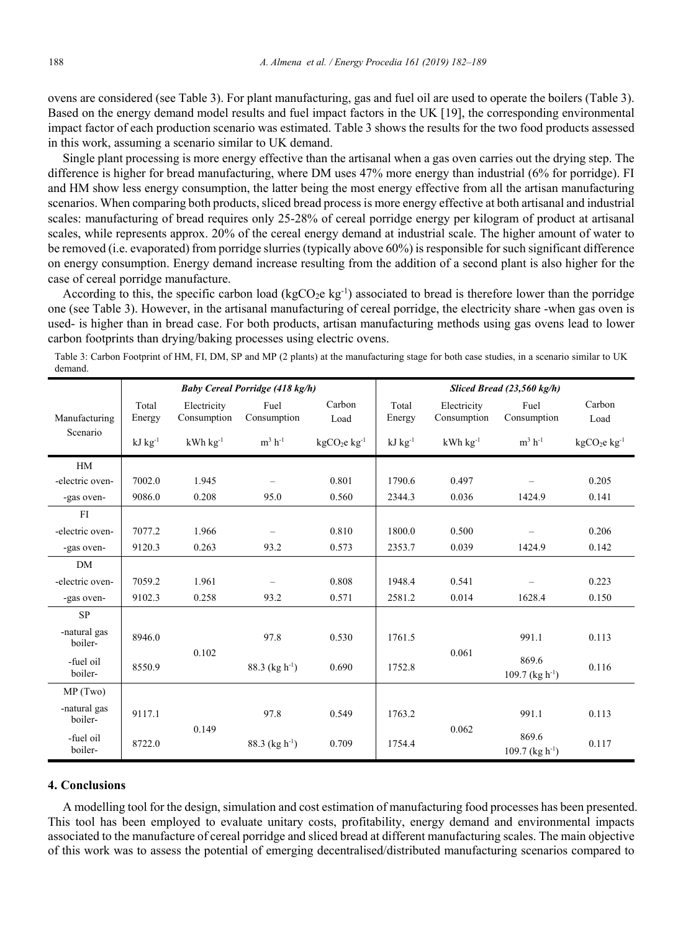ovens are considered (see Table 3). For plant manufacturing, gas and fuel oil are used to operate the boilers (Table 3). Based on the energy demand model results and fuel impact factors in the UK [19], the corresponding environmental impact factor of each production scenario was estimated. Table 3 shows the results for the two food products assessed in this work, assuming a scenario similar to UK demand.

Single plant processing is more energy effective than the artisanal when a gas oven carries out the drying step. The difference is higher for bread manufacturing, where DM uses 47% more energy than industrial (6% for porridge). FI and HM show less energy consumption, the latter being the most energy effective from all the artisan manufacturing scenarios. When comparing both products, sliced bread process is more energy effective at both artisanal and industrial scales: manufacturing of bread requires only 25-28% of cereal porridge energy per kilogram of product at artisanal scales, while represents approx. 20% of the cereal energy demand at industrial scale. The higher amount of water to be removed (i.e. evaporated) from porridge slurries (typically above 60%) is responsible for such significant difference on energy consumption. Energy demand increase resulting from the addition of a second plant is also higher for the case of cereal porridge manufacture.

According to this, the specific carbon load (kgCO<sub>2</sub>e kg<sup>-1</sup>) associated to bread is therefore lower than the porridge one (see Table 3). However, in the artisanal manufacturing of cereal porridge, the electricity share -when gas oven is used- is higher than in bread case. For both products, artisan manufacturing methods using gas ovens lead to lower carbon footprints than drying/baking processes using electric ovens.

Table 3: Carbon Footprint of HM, FI, DM, SP and MP (2 plants) at the manufacturing stage for both case studies, in a scenario similar to UK demand.

|                         | <b>Baby Cereal Porridge (418 kg/h)</b> |                            |                              |                |                 | Sliced Bread $(23,560 \text{ kg/h})$ |                               |                |  |
|-------------------------|----------------------------------------|----------------------------|------------------------------|----------------|-----------------|--------------------------------------|-------------------------------|----------------|--|
| Manufacturing           | Total<br>Energy                        | Electricity<br>Consumption | Fuel<br>Consumption          | Carbon<br>Load | Total<br>Energy | Electricity<br>Consumption           | Fuel<br>Consumption           | Carbon<br>Load |  |
| Scenario                | $kJ$ $kg^{-1}$                         | $kWh$ $kg^{-1}$            | $m^3$ h <sup>-1</sup>        | $kgCO2e kg-1$  | $kJ$ $kg^{-1}$  | $kWh$ $kg^{-1}$                      | $m3 h-1$                      | $kgCO2e kg-1$  |  |
| HM                      |                                        |                            |                              |                |                 |                                      |                               |                |  |
| -electric oven-         | 7002.0                                 | 1.945                      |                              | 0.801          | 1790.6          | 0.497                                |                               | 0.205          |  |
| -gas oven-              | 9086.0                                 | 0.208                      | 95.0                         | 0.560          | 2344.3          | 0.036                                | 1424.9                        | 0.141          |  |
| FI                      |                                        |                            |                              |                |                 |                                      |                               |                |  |
| -electric oven-         | 7077.2                                 | 1.966                      |                              | 0.810          | 1800.0          | 0.500                                |                               | 0.206          |  |
| -gas oven-              | 9120.3                                 | 0.263                      | 93.2                         | 0.573          | 2353.7          | 0.039                                | 1424.9                        | 0.142          |  |
| <b>DM</b>               |                                        |                            |                              |                |                 |                                      |                               |                |  |
| -electric oven-         | 7059.2                                 | 1.961                      | -                            | 0.808          | 1948.4          | 0.541                                |                               | 0.223          |  |
| -gas oven-              | 9102.3                                 | 0.258                      | 93.2                         | 0.571          | 2581.2          | 0.014                                | 1628.4                        | 0.150          |  |
| <b>SP</b>               |                                        |                            |                              |                |                 |                                      |                               |                |  |
| -natural gas<br>boiler- | 8946.0                                 |                            | 97.8                         | 0.530          | 1761.5          |                                      | 991.1                         | 0.113          |  |
| -fuel oil<br>boiler-    | 8550.9                                 | 0.102                      | 88.3 (kg $h^{-1}$ )          | 0.690          | 1752.8          | 0.061                                | 869.6<br>109.7 (kg $h^{-1}$ ) | 0.116          |  |
| MP(Two)                 |                                        |                            |                              |                |                 |                                      |                               |                |  |
| -natural gas<br>boiler- | 9117.1                                 |                            | 97.8                         | 0.549          | 1763.2          |                                      | 991.1                         | 0.113          |  |
| -fuel oil<br>boiler-    | 8722.0                                 | 0.149                      | $88.3$ (kg h <sup>-1</sup> ) | 0.709          | 1754.4          | 0.062                                | 869.6<br>109.7 (kg $h^{-1}$ ) | 0.117          |  |

#### **4. Conclusions**

A modelling tool for the design, simulation and cost estimation of manufacturing food processes has been presented. This tool has been employed to evaluate unitary costs, profitability, energy demand and environmental impacts associated to the manufacture of cereal porridge and sliced bread at different manufacturing scales. The main objective of this work was to assess the potential of emerging decentralised/distributed manufacturing scenarios compared to